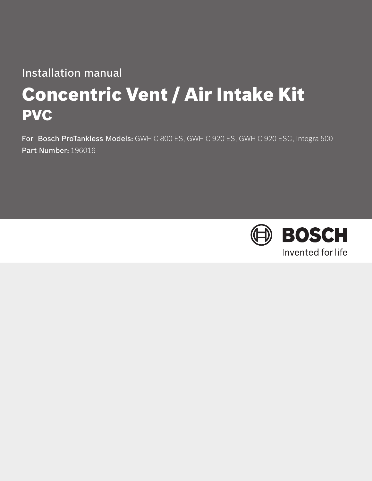# Installation manual

# Concentric Vent / Air Intake Kit PVC

For Bosch ProTankless Models: GWH C 800 ES, GWH C 920 ES, GWH C 920 ESC, Integra 500 Part Number: 196016

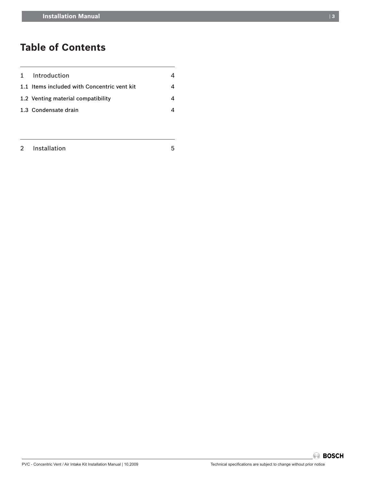## **Table of Contents**

| 1 Introduction                              |  |
|---------------------------------------------|--|
| 1.1 Items included with Concentric vent kit |  |
| 1.2 Venting material compatibility          |  |
| 1.3 Condensate drain                        |  |
|                                             |  |

PVC - Concentric Vent / Air Intake Kit Installation Manual | 10.2009 Technical specifications are subject to change without prior notice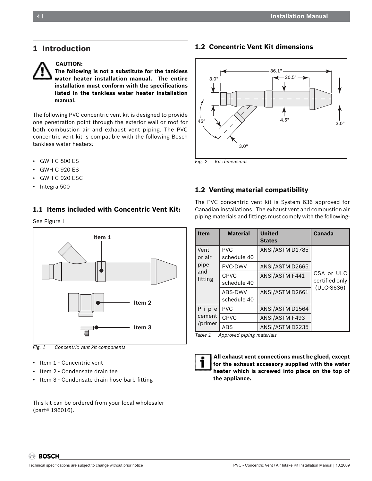### **1 Introduction**



**CAUTION:**

**The following is not a substitute for the tankless water heater installation manual. The entire installation must conform with the specifications listed in the tankless water heater installation manual.**

The following PVC concentric vent kit is designed to provide one penetration point through the exterior wall or roof for both combustion air and exhaust vent piping. The PVC concentric vent kit is compatible with the following Bosch tankless water heaters:

- GWH C 800 ES
- GWH C 920 ES
- GWH C 920 ESC
- Integra 500

#### **1.1 Items included with Concentric Vent Kit:**

See Figure 1



*Fig. 1 Concentric vent kit components* 

- Item 1 Concentric vent
- Item 2 Condensate drain tee
- Item 3 Condensate drain hose barb fitting

This kit can be ordered from your local wholesaler (part# 196016).

#### **1.2 Concentric Vent Kit dimensions**



*Fig. 2 Kit dimensions*

#### **1.2 Venting material compatibility**

The PVC concentric vent kit is System 636 approved for Canadian installations. The exhaust vent and combustion air piping materials and fittings must comply with the following:

| <b>Item</b>    | <b>Material</b>            | <b>United</b><br><b>States</b> | Canada                       |
|----------------|----------------------------|--------------------------------|------------------------------|
| Vent<br>or air | <b>PVC</b><br>schedule 40  | ANSI/ASTM D1785                |                              |
| pipe           | PVC-DWV                    | ANSI/ASTM D2665                |                              |
| and<br>fitting | <b>CPVC</b><br>schedule 40 | ANSI/ASTM F441                 | CSA or ULC<br>certified only |
|                | ABS-DWV<br>schedule 40     | ANSI/ASTM D2661                | $(ULC-S636)$                 |
| Pipe           | <b>PVC</b>                 | ANSI/ASTM D2564                |                              |
| cement         | <b>CPVC</b>                | ANSI/ASTM F493                 |                              |
| /primer        | ABS                        | ANSI/ASTM D2235                |                              |

*Table 1 Approved piping materials*



 **All exhaust vent connections must be glued, except for the exhaust accessory supplied with the water heater which is screwed into place on the top of the appliance.**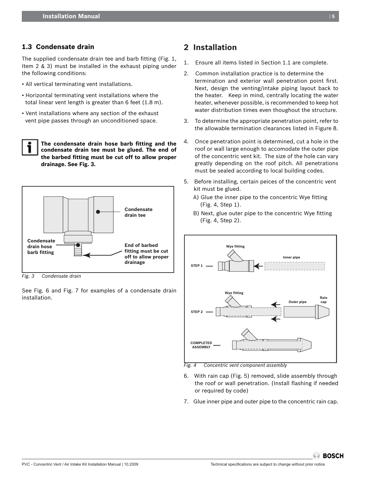#### **1.3 Condensate drain**

The supplied condensate drain tee and barb fitting (Fig. 1, Item 2 & 3) must be installed in the exhaust piping under the following conditions:

- All vertical terminating vent installations.
- Horizontal terminating vent installations where the total linear vent length is greater than 6 feet (1.8 m).
- Vent installations where any section of the exhaust vent pipe passes through an unconditioned space.

**The condensate drain hose barb fitting and the condensate drain tee must be glued. The end of the barbed fitting must be cut off to allow proper drainage. See Fig. 3.**



*Fig. 3 Condensate drain*

See Fig. 6 and Fig. 7 for examples of a condensate drain installation.

## **2 Installation**

- 1. Ensure all items listed in Section 1.1 are complete.
- 2. Common installation practice is to determine the termination and exterior wall penetration point first. Next, design the venting/intake piping layout back to the heater. Keep in mind, centrally locating the water heater, whenever possible, is recommended to keep hot water distribution times even thoughout the structure.
- 3. To determine the appropriate penetration point, refer to the allowable termination clearances listed in Figure 8.
- 4. Once penetration point is determined, cut a hole in the roof or wall large enough to accomodate the outer pipe of the concentric vent kit. The size of the hole can vary greatly depending on the roof pitch. All penetrations must be sealed according to local building codes.
- 5. Before installing, certain peices of the concentric vent kit must be glued.
	- A) Glue the inner pipe to the concentric Wye fitting (Fig. 4, Step 1).
	- B) Next, glue outer pipe to the concentric Wye fitting (Fig. 4, Step 2).



*Fig. 4 Concentric vent component assembly*

- 6.   With rain cap (Fig. 5) removed, slide assembly through the roof or wall penetration. (Install flashing if needed or required by code)
- 7. Glue inner pipe and outer pipe to the concentric rain cap.

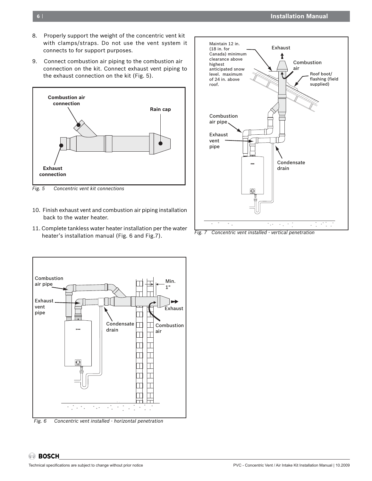- 8. Properly support the weight of the concentric vent kit with clamps/straps. Do not use the vent system it connects to for support purposes.
- 9. Connect combustion air piping to the combustion air connection on the kit. Connect exhaust vent piping to the exhaust connection on the kit (Fig. 5).



*Fig. 5 Concentric vent kit connections*

- 10. Finish exhaust vent and combustion air piping installation back to the water heater.
- 11. Complete tankless water heater installation per the water heater's installation manual (Fig. 6 and Fig.7).



*Fig. 7 Concentric vent installed - vertical penetration*



*Fig. 6 Concentric vent installed - horizontal penetration*

**BOSCH**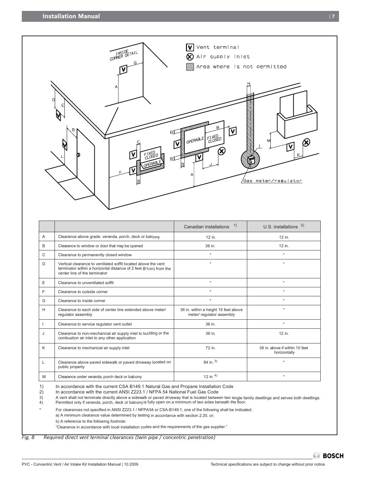

|   |                                                                                                                                                                      | 1)<br>Canadian installations                                      | U.S. installations $2)$                        |
|---|----------------------------------------------------------------------------------------------------------------------------------------------------------------------|-------------------------------------------------------------------|------------------------------------------------|
| A | Clearance above grade, veranda, porch, deck or balcony                                                                                                               | 12 in.                                                            | 12 in.                                         |
| B | Clearance to window or door that may be opened                                                                                                                       | 36 in.                                                            | 12 in.                                         |
| C | Clearance to permanently closed window                                                                                                                               | $\star$                                                           | $\star$                                        |
| D | Vertical clearance to ventilated soffit located above the vent<br>terminator within a horizontal distance of 2 feet (61cm) from the<br>center line of the terminator | $\star$                                                           | $\star$                                        |
| E | Clearance to unventilated soffit                                                                                                                                     | $\star$                                                           | $\star$                                        |
| F | Clearance to outside corner                                                                                                                                          | $\star$                                                           | $\star$                                        |
| G | Clearance to inside corner                                                                                                                                           | $\star$                                                           | $\star$                                        |
| Н | Clearance to each side of center line extended above meter/<br>regulator assembly                                                                                    | 36 in. within a height 15 feet above<br>meter/ regulator assembly | $\star$                                        |
|   | Clearance to service regulator vent outlet                                                                                                                           | 36 in.                                                            | $\star$                                        |
| J | Clearance to non-mechanical air supply inlet to building or the<br>combustion air inlet to any other application                                                     | 36 in.                                                            | 12 in.                                         |
| K | Clearance to mechanical air supply inlet                                                                                                                             | 72 in.                                                            | 36 in, above if within 10 feet<br>horizontally |
| L | Clearance above paved sidewalk or paved driveway located on<br>public property                                                                                       | 84 in. $3)$                                                       |                                                |
| M | Clearance under veranda, porch deck or balcony                                                                                                                       | 12 in. $4)$                                                       | $\star$                                        |

3) A vent shall not terminate directly above a sidewalk or paved driveway that is located between two single family dwellings and serves both dwellings.<br>4) Permitted only if veranda, porch, deck or balconyis fully open on

For clearances not specified in ANSI Z223.1 / NFPA54 or CSA-B149.1, one of the following shall be indicated:

a) A minimum clearance value determined by testing in accordance with section 2.20, or;

b) A reference to the following footnote:

"Clearance in accordance with local installation codes and the requirements of the gas supplier."

*Fig. 8 Required direct vent terminal clearances (twin pipe / concentric penetration)*